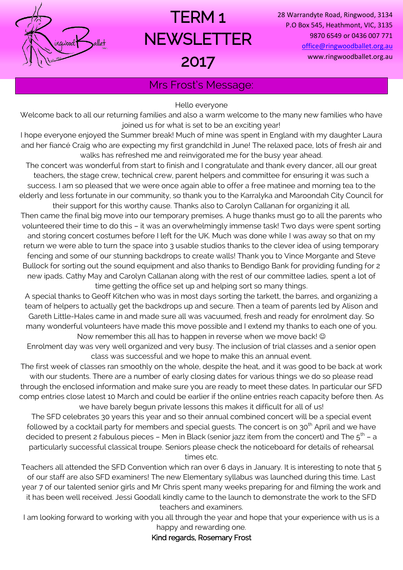

# TERM 1 **NEWSLETTER** 2017

28 Warrandyte Road, Ringwood, 3134 P.O Box 545, Heathmont, VIC, 3135 9870 6549 or 0436 007 771 [office@ringwoodballet.org.au](mailto:office@ringwoodballet.org.au) www.ringwoodballet.org.au

Mrs Frost's Message:

Hello everyone

Welcome back to all our returning families and also a warm welcome to the many new families who have joined us for what is set to be an exciting year!

I hope everyone enjoyed the Summer break! Much of mine was spent in England with my daughter Laura and her fiancé Craig who are expecting my first grandchild in June! The relaxed pace, lots of fresh air and walks has refreshed me and reinvigorated me for the busy year ahead.

The concert was wonderful from start to finish and I congratulate and thank every dancer, all our great teachers, the stage crew, technical crew, parent helpers and committee for ensuring it was such a success. I am so pleased that we were once again able to offer a free matinee and morning tea to the elderly and less fortunate in our community, so thank you to the Karralyka and Maroondah City Council for

their support for this worthy cause. Thanks also to Carolyn Callanan for organizing it all. Then came the final big move into our temporary premises. A huge thanks must go to all the parents who volunteered their time to do this – it was an overwhelmingly immense task! Two days were spent sorting and storing concert costumes before I left for the UK. Much was done while I was away so that on my return we were able to turn the space into 3 usable studios thanks to the clever idea of using temporary fencing and some of our stunning backdrops to create walls! Thank you to Vince Morgante and Steve Bullock for sorting out the sound equipment and also thanks to Bendigo Bank for providing funding for 2 new ipads. Cathy May and Carolyn Callanan along with the rest of our committee ladies, spent a lot of time getting the office set up and helping sort so many things.

A special thanks to Geoff Kitchen who was in most days sorting the tarkett, the barres, and organizing a team of helpers to actually get the backdrops up and secure. Then a team of parents led by Alison and Gareth Little-Hales came in and made sure all was vacuumed, fresh and ready for enrolment day. So many wonderful volunteers have made this move possible and I extend my thanks to each one of you. Now remember this all has to happen in reverse when we move back!  $\odot$ 

Enrolment day was very well organized and very busy. The inclusion of trial classes and a senior open class was successful and we hope to make this an annual event.

The first week of classes ran smoothly on the whole, despite the heat, and it was good to be back at work with our students. There are a number of early closing dates for various things we do so please read through the enclosed information and make sure you are ready to meet these dates. In particular our SFD comp entries close latest 10 March and could be earlier if the online entries reach capacity before then. As we have barely begun private lessons this makes it difficult for all of us!

The SFD celebrates 30 years this year and so their annual combined concert will be a special event followed by a cocktail party for members and special quests. The concert is on 30<sup>th</sup> April and we have decided to present 2 fabulous pieces – Men in Black (senior jazz item from the concert) and The  $5^{\text{th}}$  – a particularly successful classical troupe. Seniors please check the noticeboard for details of rehearsal times etc.

Teachers all attended the SFD Convention which ran over 6 days in January. It is interesting to note that 5 of our staff are also SFD examiners! The new Elementary syllabus was launched during this time. Last year 7 of our talented senior girls and Mr Chris spent many weeks preparing for and filming the work and it has been well received. Jessi Goodall kindly came to the launch to demonstrate the work to the SFD teachers and examiners.

I am looking forward to working with you all through the year and hope that your experience with us is a happy and rewarding one.

Kind regards, Rosemary Frost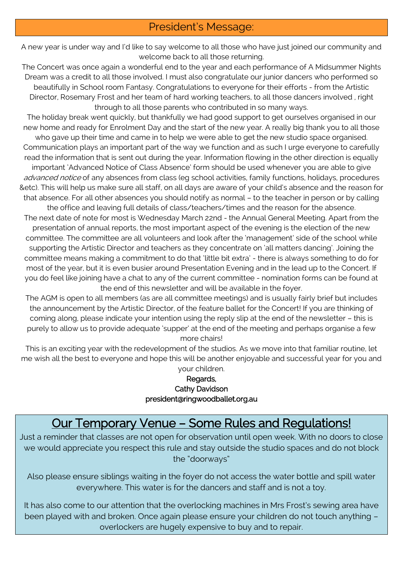#### President's Message:

A new year is under way and I'd like to say welcome to all those who have just joined our community and welcome back to all those returning.

The Concert was once again a wonderful end to the year and each performance of A Midsummer Nights Dream was a credit to all those involved. I must also congratulate our junior dancers who performed so beautifully in School room Fantasy. Congratulations to everyone for their efforts - from the Artistic Director, Rosemary Frost and her team of hard working teachers, to all those dancers involved , right through to all those parents who contributed in so many ways.

The holiday break went quickly, but thankfully we had good support to get ourselves organised in our new home and ready for Enrolment Day and the start of the new year. A really big thank you to all those

who gave up their time and came in to help we were able to get the new studio space organised. Communication plays an important part of the way we function and as such I urge everyone to carefully read the information that is sent out during the year. Information flowing in the other direction is equally important 'Advanced Notice of Class Absence' form should be used whenever you are able to give advanced notice of any absences from class (eg school activities, family functions, holidays, procedures &etc). This will help us make sure all staff, on all days are aware of your child's absence and the reason for that absence. For all other absences you should notify as normal – to the teacher in person or by calling

the office and leaving full details of class/teachers/times and the reason for the absence. The next date of note for most is Wednesday March 22nd - the Annual General Meeting. Apart from the presentation of annual reports, the most important aspect of the evening is the election of the new committee. The committee are all volunteers and look after the 'management' side of the school while supporting the Artistic Director and teachers as they concentrate on 'all matters dancing'. Joining the committee means making a commitment to do that 'little bit extra' - there is always something to do for most of the year, but it is even busier around Presentation Evening and in the lead up to the Concert. If you do feel like joining have a chat to any of the current committee - nomination forms can be found at the end of this newsletter and will be available in the foyer.

The AGM is open to all members (as are all committee meetings) and is usually fairly brief but includes the announcement by the Artistic Director, of the feature ballet for the Concert! If you are thinking of coming along, please indicate your intention using the reply slip at the end of the newsletter – this is purely to allow us to provide adequate 'supper' at the end of the meeting and perhaps organise a few more chairs!

This is an exciting year with the redevelopment of the studios. As we move into that familiar routine, let me wish all the best to everyone and hope this will be another enjoyable and successful year for you and your children.

#### Regards, Cathy Davidson [president@ringwoodballet.org.au](mailto:president@ringwoodballet.org.au)

## Our Temporary Venue – Some Rules and Regulations!

Just a reminder that classes are not open for observation until open week. With no doors to close we would appreciate you respect this rule and stay outside the studio spaces and do not block the "doorways"

Also please ensure siblings waiting in the foyer do not access the water bottle and spill water everywhere. This water is for the dancers and staff and is not a toy.

It has also come to our attention that the overlocking machines in Mrs Frost's sewing area have been played with and broken. Once again please ensure your children do not touch anything – overlockers are hugely expensive to buy and to repair.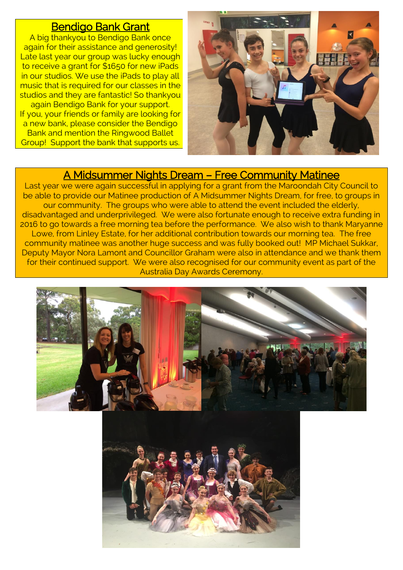#### Bendigo Bank Grant

A big thankyou to Bendigo Bank once again for their assistance and generosity! Late last year our group was lucky enough to receive a grant for \$1650 for new iPads in our studios. We use the iPads to play all music that is required for our classes in the studios and they are fantastic! So thankyou again Bendigo Bank for your support. If you, your friends or family are looking for a new bank, please consider the Bendigo

Bank and mention the Ringwood Ballet Group! Support the bank that supports us.



### A Midsummer Nights Dream – Free Community Matinee

Last year we were again successful in applying for a grant from the Maroondah City Council to be able to provide our Matinee production of A Midsummer Nights Dream, for free, to groups in our community. The groups who were able to attend the event included the elderly, disadvantaged and underprivileged. We were also fortunate enough to receive extra funding in 2016 to go towards a free morning tea before the performance. We also wish to thank Maryanne Lowe, from Linley Estate, for her additional contribution towards our morning tea. The free community matinee was another huge success and was fully booked out! MP Michael Sukkar, Deputy Mayor Nora Lamont and Councillor Graham were also in attendance and we thank them for their continued support. We were also recognised for our community event as part of the Australia Day Awards Ceremony.



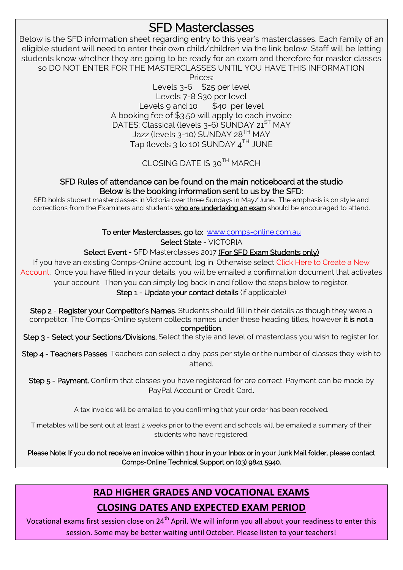## **SFD Masterclasses**

Below is the SFD information sheet regarding entry to this year's masterclasses. Each family of an eligible student will need to enter their own child/children via the link below. Staff will be letting students know whether they are going to be ready for an exam and therefore for master classes so DO NOT ENTER FOR THE MASTERCLASSES UNTIL YOU HAVE THIS INFORMATION

> Prices: Levels 3-6 \$25 per level Levels 7-8 \$30 per level Levels  $9$  and  $10$  \$40 per level A booking fee of \$3.50 will apply to each invoice DATES: Classical (levels 3-6) SUNDAY 21<sup>ST</sup> MAY Jazz (levels 3-10) SUNDAY 28<sup>TH</sup> MAY Tap (levels 3 to 10) SUNDAY  $4^{TH}$  JUNE

#### CLOSING DATE IS 30TH MARCH

#### SFD Rules of attendance can be found on the main noticeboard at the studio Below is the booking information sent to us by the SFD:

SFD holds student masterclasses in Victoria over three Sundays in May/June. The emphasis is on style and corrections from the Examiners and students who are undertaking an exam should be encouraged to attend.

To enter Masterclasses, go to: [www.comps-online.com.au](http://www.comps-online.com.au/)

Select State - VICTORIA

Select Event - SFD Masterclasses 2017 (For SFD Exam Students only)

If you have an existing Comps-Online account, log in. Otherwise select Click Here to Create a New Account. Once you have filled in your details, you will be emailed a confirmation document that activates your account. Then you can simply log back in and follow the steps below to register. Step 1 - Update your contact details (if applicable)

Step 2 - Register your Competitor's Names. Students should fill in their details as though they were a competitor. The Comps-Online system collects names under these heading titles, however it is not a

competition.

Step 3 - Select your Sections/Divisions. Select the style and level of masterclass you wish to register for.

Step 4 - Teachers Passes. Teachers can select a day pass per style or the number of classes they wish to attend.

Step 5 - Payment. Confirm that classes you have registered for are correct. Payment can be made by PayPal Account or Credit Card.

A tax invoice will be emailed to you confirming that your order has been received.

Timetables will be sent out at least 2 weeks prior to the event and schools will be emailed a summary of their students who have registered.

Please Note: If you do not receive an invoice within 1 hour in your Inbox or in your Junk Mail folder, please contact Comps-Online Technical Support on (03) 9841 5940.

### **RAD HIGHER GRADES AND VOCATIONAL EXAMS CLOSING DATES AND EXPECTED EXAM PERIOD**

Vocational exams first session close on 24<sup>th</sup> April. We will inform you all about your readiness to enter this session. Some may be better waiting until October. Please listen to your teachers!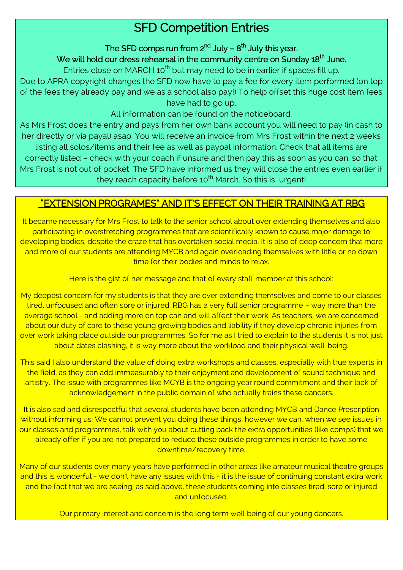## **SFD Competition Entries**

#### The SFD comps run from 2 $^{\text{nd}}$  July –  $8^{\text{th}}$  July this year.

#### We will hold our dress rehearsal in the community centre on Sunday 18<sup>th</sup> June.

Entries close on MARCH  $10^{th}$  but may need to be in earlier if spaces fill up.

Due to APRA copyright changes the SFD now have to pay a fee for every item performed (on top of the fees they already pay and we as a school also pay!) To help offset this huge cost item fees have had to go up.

All information can be found on the noticeboard.

As Mrs Frost does the entry and pays from her own bank account you will need to pay (in cash to her directly or via payal) asap. You will receive an invoice from Mrs Frost within the next 2 weeks listing all solos/items and their fee as well as paypal information. Check that all items are correctly listed – check with your coach if unsure and then pay this as soon as you can, so that Mrs Frost is not out of pocket. The SFD have informed us they will close the entries even earlier if they reach capacity before 10<sup>th</sup> March. So this is urgent!

#### "EXTENSION PROGRAMES" AND IT'S EFFECT ON THEIR TRAINING AT RBG

It became necessary for Mrs Frost to talk to the senior school about over extending themselves and also participating in overstretching programmes that are scientifically known to cause major damage to developing bodies, despite the craze that has overtaken social media. It is also of deep concern that more and more of our students are attending MYCB and again overloading themselves with little or no down time for their bodies and minds to relax.

Here is the gist of her message and that of every staff member at this school:

My deepest concern for my students is that they are over extending themselves and come to our classes tired, unfocused and often sore or injured. RBG has a very full senior programme – way more than the average school - and adding more on top can and will affect their work. As teachers, we are concerned about our duty of care to these young growing bodies and liability if they develop chronic injuries from over work taking place outside our programmes. So for me as I tried to explain to the students it is not just about dates clashing, it is way more about the workload and their physical well-being.

This said I also understand the value of doing extra workshops and classes, especially with true experts in the field, as they can add immeasurably to their enjoyment and development of sound technique and artistry. The issue with programmes like MCYB is the ongoing year round commitment and their lack of acknowledgement in the public domain of who actually trains these dancers.

It is also sad and disrespectful that several students have been attending MYCB and Dance Prescription without informing us. We cannot prevent you doing these things, however we can, when we see issues in our classes and programmes, talk with you about cutting back the extra opportunities (like comps) that we already offer if you are not prepared to reduce these outside programmes in order to have some downtime/recovery time.

Many of our students over many years have performed in other areas like amateur musical theatre groups and this is wonderful - we don't have any issues with this - it is the issue of continuing constant extra work and the fact that we are seeing, as said above, these students coming into classes tired, sore or injured and unfocused.

Our primary interest and concern is the long term well being of our young dancers.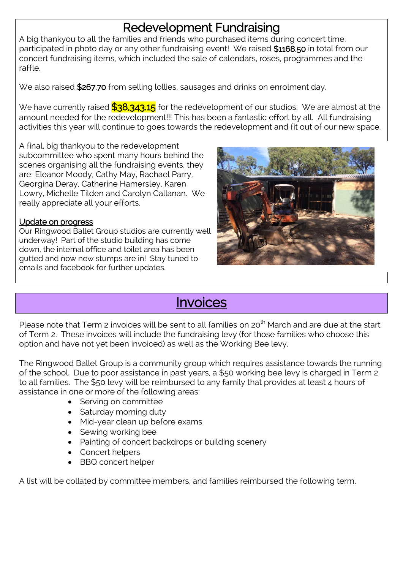## Redevelopment Fundraising

A big thankyou to all the families and friends who purchased items during concert time, participated in photo day or any other fundraising event! We raised \$1168.50 in total from our concert fundraising items, which included the sale of calendars, roses, programmes and the raffle.

We also raised \$267.70 from selling lollies, sausages and drinks on enrolment day.

We have currently raised  $\frac{\$38,343.15}{\$}$  for the redevelopment of our studios. We are almost at the amount needed for the redevelopment!!! This has been a fantastic effort by all. All fundraising activities this year will continue to goes towards the redevelopment and fit out of our new space.

A final, big thankyou to the redevelopment subcommittee who spent many hours behind the scenes organising all the fundraising events, they are: Eleanor Moody, Cathy May, Rachael Parry, Georgina Deray, Catherine Hamersley, Karen Lowry, Michelle Tilden and Carolyn Callanan. We really appreciate all your efforts.

#### Update on progress

Our Ringwood Ballet Group studios are currently well underway! Part of the studio building has come down, the internal office and toilet area has been gutted and now new stumps are in! Stay tuned to emails and facebook for further updates.



## **Invoices**

Please note that Term 2 invoices will be sent to all families on 20<sup>th</sup> March and are due at the start of Term 2. These invoices will include the fundraising levy (for those families who choose this option and have not yet been invoiced) as well as the Working Bee levy.

The Ringwood Ballet Group is a community group which requires assistance towards the running of the school. Due to poor assistance in past years, a \$50 working bee levy is charged in Term 2 to all families. The \$50 levy will be reimbursed to any family that provides at least 4 hours of assistance in one or more of the following areas:

- Serving on committee
- Saturday morning duty
- Mid-year clean up before exams
- Sewing working bee
- Painting of concert backdrops or building scenery
- Concert helpers
- BBQ concert helper

A list will be collated by committee members, and families reimbursed the following term.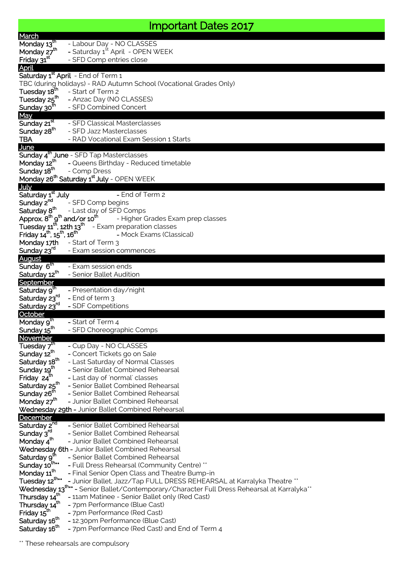## Important Dates 2017

| March                                                           |                                                                                           |
|-----------------------------------------------------------------|-------------------------------------------------------------------------------------------|
| Monday $13^{\text{th}}$                                         | - Labour Day - NO CLASSES                                                                 |
| Monday 27 <sup>th</sup>                                         | - Saturday 1 <sup>st</sup> April - OPEN WEEK                                              |
| Friday 31 <sup>st</sup>                                         | - SFD Comp entries close                                                                  |
| <b>April</b>                                                    |                                                                                           |
|                                                                 | Saturday 1 <sup>st</sup> April - End of Term 1                                            |
|                                                                 | TBC (during holidays) - RAD Autumn School (Vocational Grades Only)                        |
| Tuesday 18 <sup>th</sup>                                        | - Start of Term 2                                                                         |
| Tuesday 25 <sup>th</sup>                                        | - Anzac Day (NO CLASSES)                                                                  |
| Sunday 30 <sup>th</sup>                                         | - SFD Combined Concert                                                                    |
| <b>May</b>                                                      |                                                                                           |
| Sunday 21 <sup>st</sup>                                         | - SFD Classical Masterclasses                                                             |
| Sunday 28 <sup>th</sup>                                         | - SFD Jazz Masterclasses                                                                  |
| <b>TBA</b>                                                      | - RAD Vocational Exam Session 1 Starts                                                    |
| June                                                            |                                                                                           |
|                                                                 | Sunday 4 <sup>th</sup> June - SFD Tap Masterclasses                                       |
| Monday 12 <sup>th</sup>                                         | - Queens Birthday - Reduced timetable                                                     |
| Sunday 18 <sup>th</sup>                                         | - Comp Dress                                                                              |
|                                                                 | Monday 26 <sup>th</sup> Saturday 1 <sup>st</sup> July - OPEN WEEK                         |
| <b>July</b>                                                     |                                                                                           |
| Saturday 1 <sup>st</sup> July                                   | - End of Term 2                                                                           |
| Sunday 2 <sup>nd</sup>                                          | - SFD Comp begins                                                                         |
| Saturday 8 <sup>th</sup>                                        | - Last day of SFD Comps                                                                   |
| Approx. 8 <sup>th</sup> 9 <sup>th</sup> and/or 10 <sup>th</sup> | - Higher Grades Exam prep classes                                                         |
| Tuesday $11^{\text{th}}$ , 12th $13^{\text{th}}$                | - Exam preparation classes                                                                |
| Friday $14^{\text{th}}$ , $15^{\text{th}}$ , $16^{\text{th}}$   | - Mock Exams (Classical)                                                                  |
| Monday 17th                                                     | - Start of Term 3                                                                         |
| Sunday 23 <sup>rd</sup>                                         | - Exam session commences                                                                  |
| <b>August</b>                                                   |                                                                                           |
| Sunday 6th                                                      | - Exam session ends                                                                       |
| Saturday 12 <sup>th</sup>                                       | - Senior Ballet Audition                                                                  |
| September                                                       |                                                                                           |
| Saturday 9 <sup>th</sup>                                        | - Presentation day/night                                                                  |
| Saturday 23 <sup>rd</sup>                                       | - End of term 3                                                                           |
| Saturday 23 <sup>rd</sup>                                       | - SDF Competitions                                                                        |
| October                                                         |                                                                                           |
| Monday $9^{\overline{m}}$                                       | - Start of Term 4                                                                         |
| Sunday 15 <sup>th</sup>                                         | - SFD Choreographic Comps                                                                 |
| November                                                        |                                                                                           |
| Tuesday 7 <sup>th</sup>                                         | - Cup Day - NO CLASSES                                                                    |
| Sunday 12th                                                     | - Concert Tickets go on Sale                                                              |
| Saturday 18 <sup>th</sup>                                       | - Last Saturday of Normal Classes                                                         |
| Sunday 19 <sup>th</sup>                                         | - Senior Ballet Combined Rehearsal                                                        |
| Friday 24 <sup>th</sup>                                         | - Last day of 'normal' classes                                                            |
| Saturday 25 <sup>th</sup>                                       | - Senior Ballet Combined Rehearsal                                                        |
|                                                                 |                                                                                           |
|                                                                 | - Senior Ballet Combined Rehearsal                                                        |
| Sunday 26 <sup>th</sup>                                         | - Junior Ballet Combined Rehearsal                                                        |
| Monday 27 <sup>th</sup>                                         | Wednesday 29th - Junior Ballet Combined Rehearsal                                         |
| December                                                        |                                                                                           |
|                                                                 | - Senior Ballet Combined Rehearsal                                                        |
| Saturday 2 <sup>nd</sup><br>Sunday 3 <sup>rd</sup>              | - Senior Ballet Combined Rehearsal                                                        |
|                                                                 | - Junior Ballet Combined Rehearsal                                                        |
| Monday 4 <sup>th</sup>                                          | Wednesday 6th - Junior Ballet Combined Rehearsal                                          |
|                                                                 | - Senior Ballet Combined Rehearsal                                                        |
| Saturday 9 <sup>th</sup>                                        |                                                                                           |
| Sunday 10 <sup>th**</sup>                                       | - Full Dress Rehearsal (Community Centre) **                                              |
| Monday 11 <sup>th</sup>                                         | - Final Senior Open Class and Theatre Bump-in                                             |
| Tuesday 12 <sup>th**</sup>                                      | - Junior Ballet, Jazz/Tap FULL DRESS REHEARSAL at Karralyka Theatre **                    |
|                                                                 | "Wednesday 13"** - Senior Ballet/Contemporary/Character Full Dress Rehearsal at Karralyka |
| Thursday 14th                                                   | - 11am Matinee - Senior Ballet only (Red Cast)                                            |
| Thursday 14 <sup>th</sup>                                       | - 7pm Performance (Blue Cast)                                                             |
| Friday 15 <sup>th</sup><br>Saturday 16 <sup>th</sup>            | - 7pm Performance (Red Cast)<br>- 12.30pm Performance (Blue Cast)                         |

\*\* These rehearsals are compulsory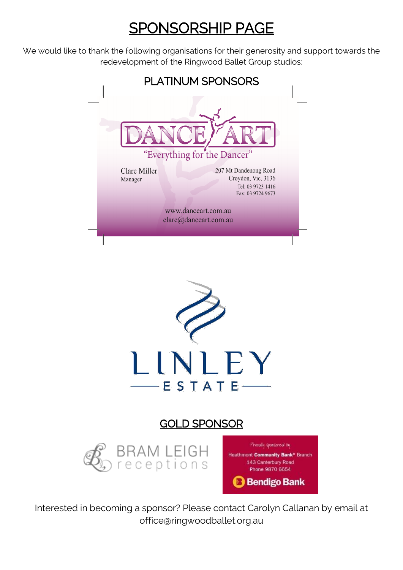# SPONSORSHIP PAGE

We would like to thank the following organisations for their generosity and support towards the redevelopment of the Ringwood Ballet Group studios:





### GOLD SPONSOR





Interested in becoming a sponsor? Please contact Carolyn Callanan by email at office@ringwoodballet.org.au